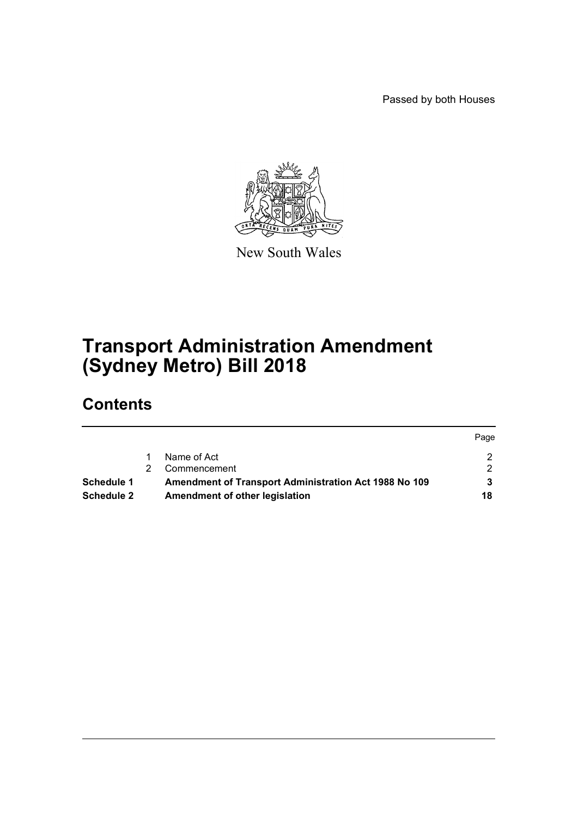Passed by both Houses



New South Wales

# **Transport Administration Amendment (Sydney Metro) Bill 2018**

# **Contents**

|                   |                                                              | Page |
|-------------------|--------------------------------------------------------------|------|
|                   | Name of Act                                                  |      |
|                   | Commencement                                                 | ◠    |
| Schedule 1        | <b>Amendment of Transport Administration Act 1988 No 109</b> |      |
| <b>Schedule 2</b> | Amendment of other legislation                               | 18   |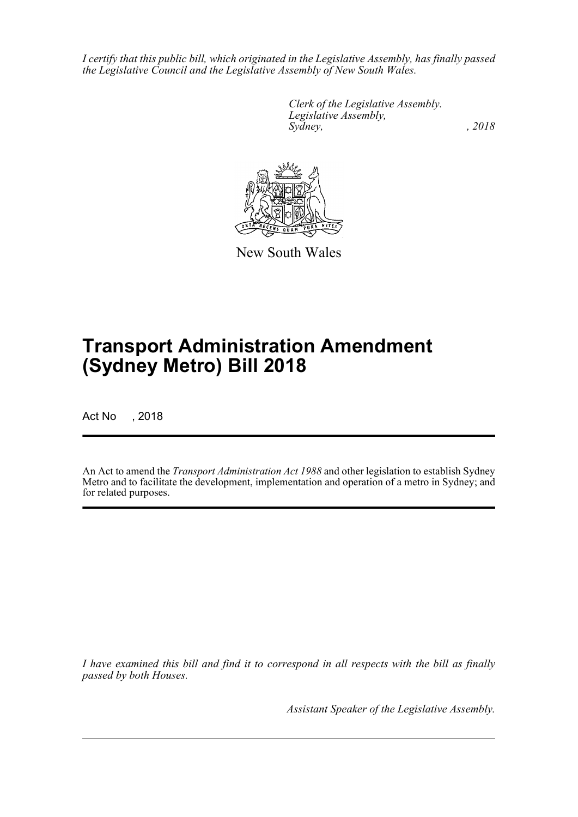*I certify that this public bill, which originated in the Legislative Assembly, has finally passed the Legislative Council and the Legislative Assembly of New South Wales.*

> *Clerk of the Legislative Assembly. Legislative Assembly, Sydney, , 2018*



New South Wales

# **Transport Administration Amendment (Sydney Metro) Bill 2018**

Act No , 2018

An Act to amend the *Transport Administration Act 1988* and other legislation to establish Sydney Metro and to facilitate the development, implementation and operation of a metro in Sydney; and for related purposes.

*I have examined this bill and find it to correspond in all respects with the bill as finally passed by both Houses.*

*Assistant Speaker of the Legislative Assembly.*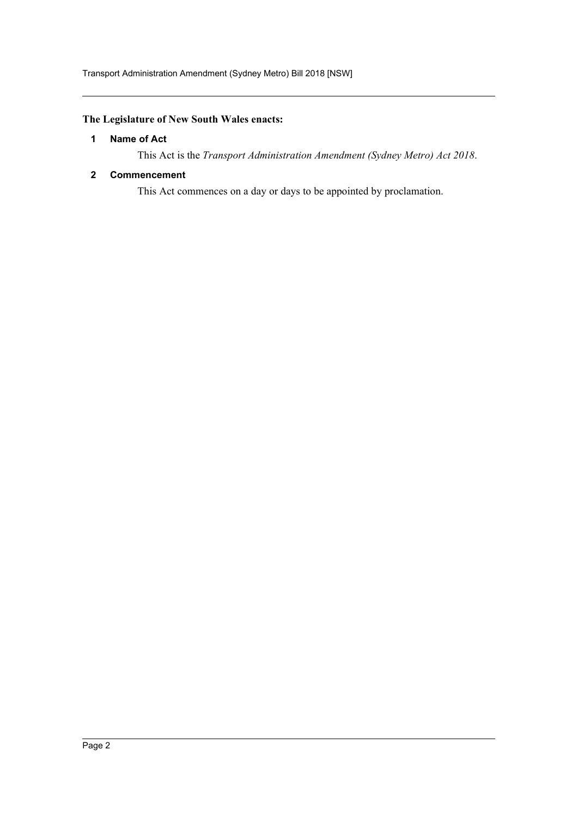## <span id="page-2-0"></span>**The Legislature of New South Wales enacts:**

### **1 Name of Act**

This Act is the *Transport Administration Amendment (Sydney Metro) Act 2018*.

### <span id="page-2-1"></span>**2 Commencement**

This Act commences on a day or days to be appointed by proclamation.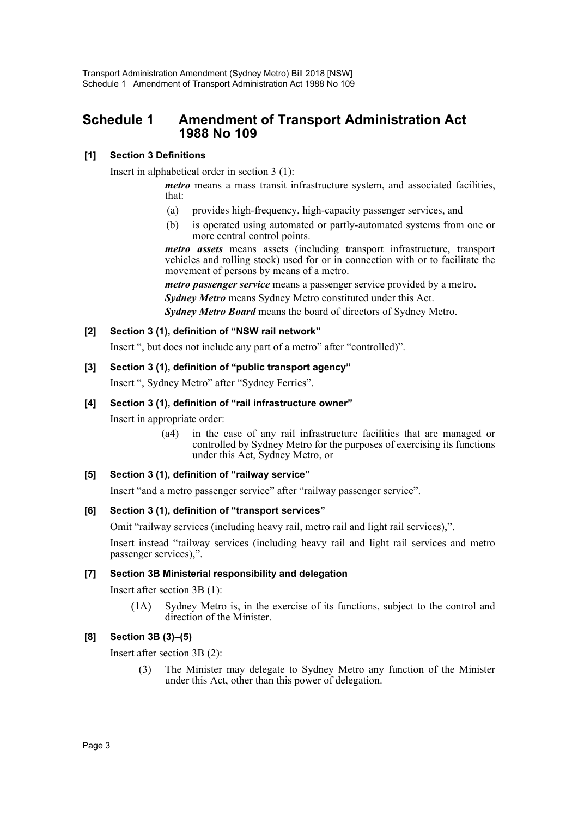## <span id="page-3-0"></span>**Schedule 1 Amendment of Transport Administration Act 1988 No 109**

## **[1] Section 3 Definitions**

Insert in alphabetical order in section 3 (1):

*metro* means a mass transit infrastructure system, and associated facilities, that:

- (a) provides high-frequency, high-capacity passenger services, and
- (b) is operated using automated or partly-automated systems from one or more central control points.

*metro assets* means assets (including transport infrastructure, transport vehicles and rolling stock) used for or in connection with or to facilitate the movement of persons by means of a metro.

*metro passenger service* means a passenger service provided by a metro.

*Sydney Metro* means Sydney Metro constituted under this Act.

*Sydney Metro Board* means the board of directors of Sydney Metro.

### **[2] Section 3 (1), definition of "NSW rail network"**

Insert ", but does not include any part of a metro" after "controlled)".

### **[3] Section 3 (1), definition of "public transport agency"**

Insert ", Sydney Metro" after "Sydney Ferries".

### **[4] Section 3 (1), definition of "rail infrastructure owner"**

Insert in appropriate order:

(a4) in the case of any rail infrastructure facilities that are managed or controlled by Sydney Metro for the purposes of exercising its functions under this Act, Sydney Metro, or

#### **[5] Section 3 (1), definition of "railway service"**

Insert "and a metro passenger service" after "railway passenger service".

#### **[6] Section 3 (1), definition of "transport services"**

Omit "railway services (including heavy rail, metro rail and light rail services),".

Insert instead "railway services (including heavy rail and light rail services and metro passenger services),".

#### **[7] Section 3B Ministerial responsibility and delegation**

Insert after section 3B (1):

(1A) Sydney Metro is, in the exercise of its functions, subject to the control and direction of the Minister.

## **[8] Section 3B (3)–(5)**

Insert after section 3B (2):

(3) The Minister may delegate to Sydney Metro any function of the Minister under this Act, other than this power of delegation.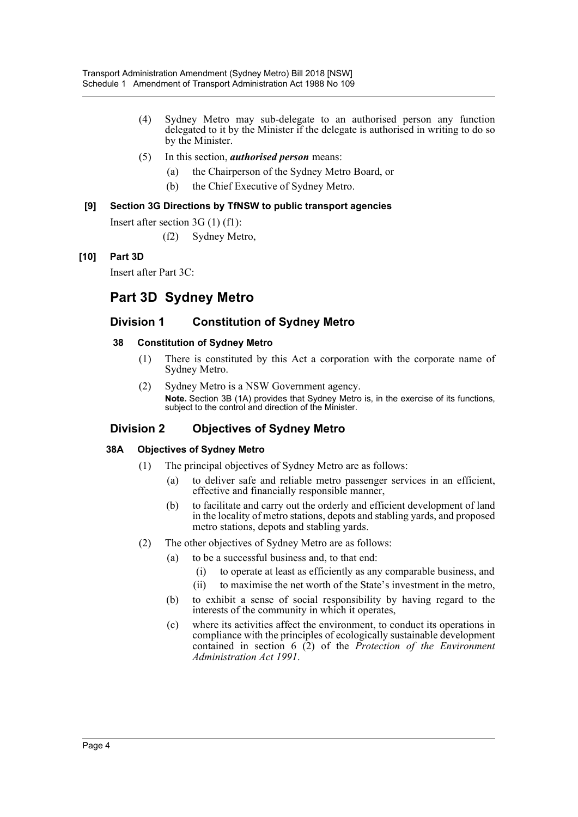- (4) Sydney Metro may sub-delegate to an authorised person any function delegated to it by the Minister if the delegate is authorised in writing to do so by the Minister.
- (5) In this section, *authorised person* means:
	- (a) the Chairperson of the Sydney Metro Board, or
	- (b) the Chief Executive of Sydney Metro.

### **[9] Section 3G Directions by TfNSW to public transport agencies**

Insert after section 3G (1) (f1):

(f2) Sydney Metro,

## **[10] Part 3D**

Insert after Part 3C:

## **Part 3D Sydney Metro**

## **Division 1 Constitution of Sydney Metro**

### **38 Constitution of Sydney Metro**

- (1) There is constituted by this Act a corporation with the corporate name of Sydney Metro.
- (2) Sydney Metro is a NSW Government agency. **Note.** Section 3B (1A) provides that Sydney Metro is, in the exercise of its functions, subject to the control and direction of the Minister.

## **Division 2 Objectives of Sydney Metro**

## **38A Objectives of Sydney Metro**

- (1) The principal objectives of Sydney Metro are as follows:
	- (a) to deliver safe and reliable metro passenger services in an efficient, effective and financially responsible manner,
	- (b) to facilitate and carry out the orderly and efficient development of land in the locality of metro stations, depots and stabling yards, and proposed metro stations, depots and stabling yards.
- (2) The other objectives of Sydney Metro are as follows:
	- (a) to be a successful business and, to that end:
		- (i) to operate at least as efficiently as any comparable business, and
		- (ii) to maximise the net worth of the State's investment in the metro,
	- (b) to exhibit a sense of social responsibility by having regard to the interests of the community in which it operates,
	- (c) where its activities affect the environment, to conduct its operations in compliance with the principles of ecologically sustainable development contained in section 6 (2) of the *Protection of the Environment Administration Act 1991*.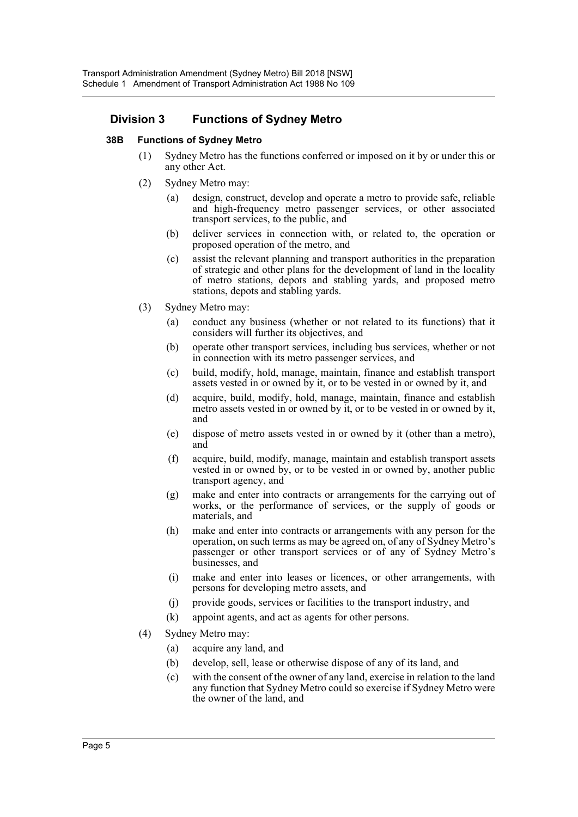## **Division 3 Functions of Sydney Metro**

### **38B Functions of Sydney Metro**

- (1) Sydney Metro has the functions conferred or imposed on it by or under this or any other Act.
- (2) Sydney Metro may:
	- (a) design, construct, develop and operate a metro to provide safe, reliable and high-frequency metro passenger services, or other associated transport services, to the public, and
	- (b) deliver services in connection with, or related to, the operation or proposed operation of the metro, and
	- (c) assist the relevant planning and transport authorities in the preparation of strategic and other plans for the development of land in the locality of metro stations, depots and stabling yards, and proposed metro stations, depots and stabling yards.
- (3) Sydney Metro may:
	- (a) conduct any business (whether or not related to its functions) that it considers will further its objectives, and
	- (b) operate other transport services, including bus services, whether or not in connection with its metro passenger services, and
	- (c) build, modify, hold, manage, maintain, finance and establish transport assets vested in or owned by it, or to be vested in or owned by it, and
	- (d) acquire, build, modify, hold, manage, maintain, finance and establish metro assets vested in or owned by it, or to be vested in or owned by it, and
	- (e) dispose of metro assets vested in or owned by it (other than a metro), and
	- (f) acquire, build, modify, manage, maintain and establish transport assets vested in or owned by, or to be vested in or owned by, another public transport agency, and
	- (g) make and enter into contracts or arrangements for the carrying out of works, or the performance of services, or the supply of goods or materials, and
	- (h) make and enter into contracts or arrangements with any person for the operation, on such terms as may be agreed on, of any of Sydney Metro's passenger or other transport services or of any of Sydney Metro's businesses, and
	- (i) make and enter into leases or licences, or other arrangements, with persons for developing metro assets, and
	- (j) provide goods, services or facilities to the transport industry, and
	- (k) appoint agents, and act as agents for other persons.
- (4) Sydney Metro may:
	- (a) acquire any land, and
	- (b) develop, sell, lease or otherwise dispose of any of its land, and
	- (c) with the consent of the owner of any land, exercise in relation to the land any function that Sydney Metro could so exercise if Sydney Metro were the owner of the land, and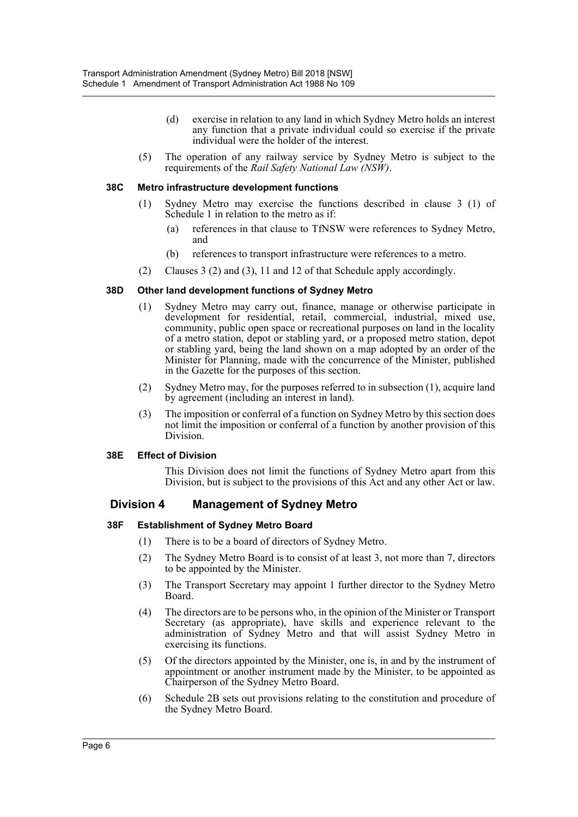- (d) exercise in relation to any land in which Sydney Metro holds an interest any function that a private individual could so exercise if the private individual were the holder of the interest.
- (5) The operation of any railway service by Sydney Metro is subject to the requirements of the *Rail Safety National Law (NSW)*.

#### **38C Metro infrastructure development functions**

- (1) Sydney Metro may exercise the functions described in clause 3 (1) of Schedule 1 in relation to the metro as if:
	- (a) references in that clause to TfNSW were references to Sydney Metro, and
	- (b) references to transport infrastructure were references to a metro.
- (2) Clauses 3 (2) and (3), 11 and 12 of that Schedule apply accordingly.

#### **38D Other land development functions of Sydney Metro**

- (1) Sydney Metro may carry out, finance, manage or otherwise participate in development for residential, retail, commercial, industrial, mixed use, community, public open space or recreational purposes on land in the locality of a metro station, depot or stabling yard, or a proposed metro station, depot or stabling yard, being the land shown on a map adopted by an order of the Minister for Planning, made with the concurrence of the Minister, published in the Gazette for the purposes of this section.
- (2) Sydney Metro may, for the purposes referred to in subsection (1), acquire land by agreement (including an interest in land).
- (3) The imposition or conferral of a function on Sydney Metro by this section does not limit the imposition or conferral of a function by another provision of this Division.

#### **38E Effect of Division**

This Division does not limit the functions of Sydney Metro apart from this Division, but is subject to the provisions of this Act and any other Act or law.

## **Division 4 Management of Sydney Metro**

#### **38F Establishment of Sydney Metro Board**

- (1) There is to be a board of directors of Sydney Metro.
- (2) The Sydney Metro Board is to consist of at least 3, not more than 7, directors to be appointed by the Minister.
- (3) The Transport Secretary may appoint 1 further director to the Sydney Metro Board.
- (4) The directors are to be persons who, in the opinion of the Minister or Transport Secretary (as appropriate), have skills and experience relevant to the administration of Sydney Metro and that will assist Sydney Metro in exercising its functions.
- (5) Of the directors appointed by the Minister, one is, in and by the instrument of appointment or another instrument made by the Minister, to be appointed as Chairperson of the Sydney Metro Board.
- (6) Schedule 2B sets out provisions relating to the constitution and procedure of the Sydney Metro Board.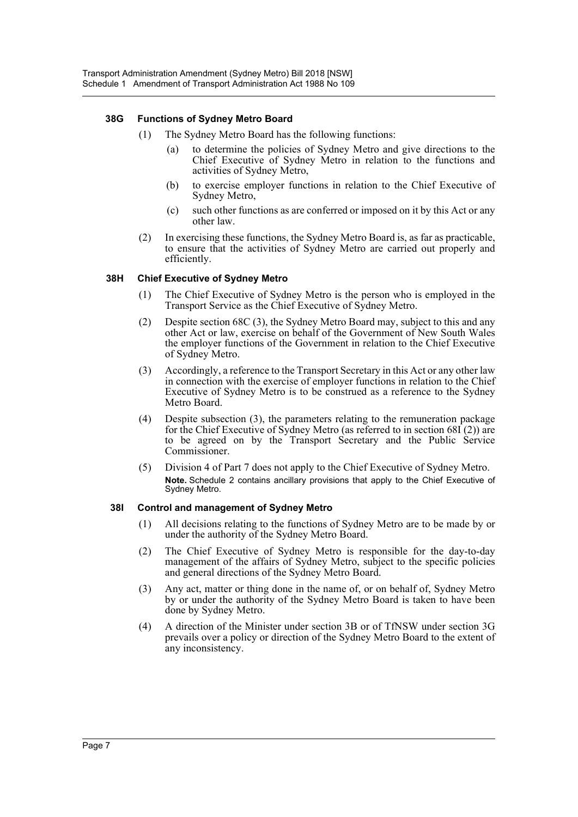### **38G Functions of Sydney Metro Board**

- (1) The Sydney Metro Board has the following functions:
	- (a) to determine the policies of Sydney Metro and give directions to the Chief Executive of Sydney Metro in relation to the functions and activities of Sydney Metro,
	- (b) to exercise employer functions in relation to the Chief Executive of Sydney Metro,
	- (c) such other functions as are conferred or imposed on it by this Act or any other law.
- (2) In exercising these functions, the Sydney Metro Board is, as far as practicable, to ensure that the activities of Sydney Metro are carried out properly and efficiently.

#### **38H Chief Executive of Sydney Metro**

- (1) The Chief Executive of Sydney Metro is the person who is employed in the Transport Service as the Chief Executive of Sydney Metro.
- (2) Despite section 68C (3), the Sydney Metro Board may, subject to this and any other Act or law, exercise on behalf of the Government of New South Wales the employer functions of the Government in relation to the Chief Executive of Sydney Metro.
- (3) Accordingly, a reference to the Transport Secretary in this Act or any other law in connection with the exercise of employer functions in relation to the Chief Executive of Sydney Metro is to be construed as a reference to the Sydney Metro Board.
- (4) Despite subsection (3), the parameters relating to the remuneration package for the Chief Executive of Sydney Metro (as referred to in section 68I (2)) are to be agreed on by the Transport Secretary and the Public Service Commissioner.
- (5) Division 4 of Part 7 does not apply to the Chief Executive of Sydney Metro. **Note.** Schedule 2 contains ancillary provisions that apply to the Chief Executive of Sydney Metro.

#### **38I Control and management of Sydney Metro**

- (1) All decisions relating to the functions of Sydney Metro are to be made by or under the authority of the Sydney Metro Board.
- (2) The Chief Executive of Sydney Metro is responsible for the day-to-day management of the affairs of Sydney Metro, subject to the specific policies and general directions of the Sydney Metro Board.
- (3) Any act, matter or thing done in the name of, or on behalf of, Sydney Metro by or under the authority of the Sydney Metro Board is taken to have been done by Sydney Metro.
- (4) A direction of the Minister under section 3B or of TfNSW under section 3G prevails over a policy or direction of the Sydney Metro Board to the extent of any inconsistency.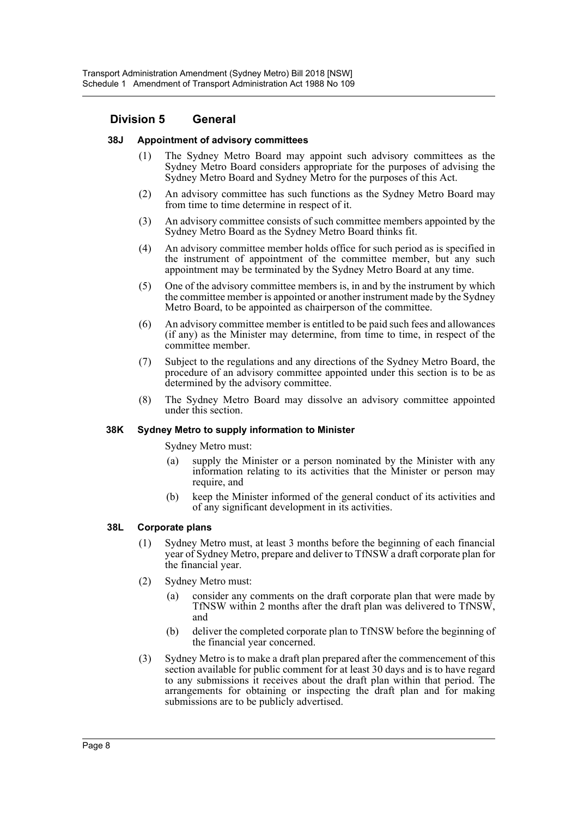## **Division 5 General**

#### **38J Appointment of advisory committees**

- (1) The Sydney Metro Board may appoint such advisory committees as the Sydney Metro Board considers appropriate for the purposes of advising the Sydney Metro Board and Sydney Metro for the purposes of this Act.
- (2) An advisory committee has such functions as the Sydney Metro Board may from time to time determine in respect of it.
- (3) An advisory committee consists of such committee members appointed by the Sydney Metro Board as the Sydney Metro Board thinks fit.
- (4) An advisory committee member holds office for such period as is specified in the instrument of appointment of the committee member, but any such appointment may be terminated by the Sydney Metro Board at any time.
- (5) One of the advisory committee members is, in and by the instrument by which the committee member is appointed or another instrument made by the Sydney Metro Board, to be appointed as chairperson of the committee.
- (6) An advisory committee member is entitled to be paid such fees and allowances (if any) as the Minister may determine, from time to time, in respect of the committee member.
- (7) Subject to the regulations and any directions of the Sydney Metro Board, the procedure of an advisory committee appointed under this section is to be as determined by the advisory committee.
- (8) The Sydney Metro Board may dissolve an advisory committee appointed under this section.

#### **38K Sydney Metro to supply information to Minister**

Sydney Metro must:

- (a) supply the Minister or a person nominated by the Minister with any information relating to its activities that the Minister or person may require, and
- (b) keep the Minister informed of the general conduct of its activities and of any significant development in its activities.

#### **38L Corporate plans**

- (1) Sydney Metro must, at least 3 months before the beginning of each financial year of Sydney Metro, prepare and deliver to TfNSW a draft corporate plan for the financial year.
- (2) Sydney Metro must:
	- (a) consider any comments on the draft corporate plan that were made by TfNSW within 2 months after the draft plan was delivered to TfNSW, and
	- (b) deliver the completed corporate plan to TfNSW before the beginning of the financial year concerned.
- (3) Sydney Metro is to make a draft plan prepared after the commencement of this section available for public comment for at least 30 days and is to have regard to any submissions it receives about the draft plan within that period. The arrangements for obtaining or inspecting the draft plan and for making submissions are to be publicly advertised.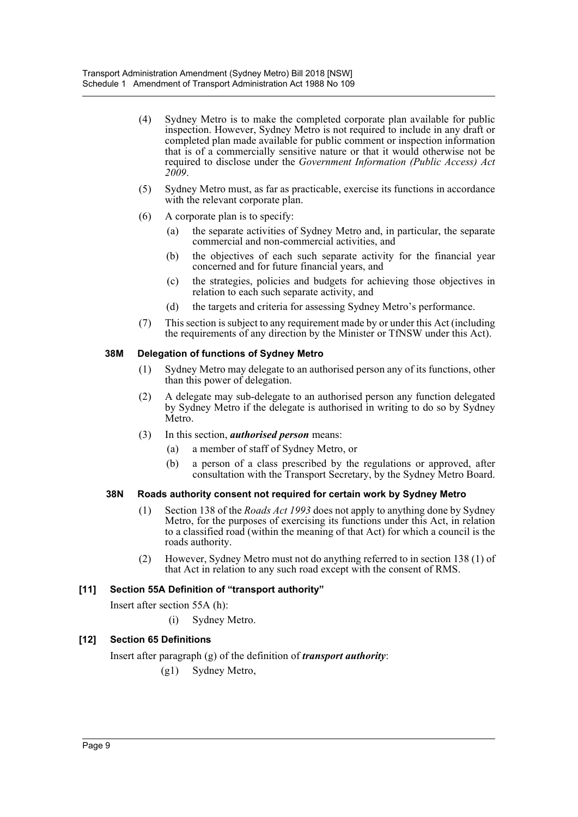- (4) Sydney Metro is to make the completed corporate plan available for public inspection. However, Sydney Metro is not required to include in any draft or completed plan made available for public comment or inspection information that is of a commercially sensitive nature or that it would otherwise not be required to disclose under the *Government Information (Public Access) Act 2009*.
- (5) Sydney Metro must, as far as practicable, exercise its functions in accordance with the relevant corporate plan.
- (6) A corporate plan is to specify:
	- (a) the separate activities of Sydney Metro and, in particular, the separate commercial and non-commercial activities, and
	- (b) the objectives of each such separate activity for the financial year concerned and for future financial years, and
	- (c) the strategies, policies and budgets for achieving those objectives in relation to each such separate activity, and
	- (d) the targets and criteria for assessing Sydney Metro's performance.
- (7) This section is subject to any requirement made by or under this Act (including the requirements of any direction by the Minister or TfNSW under this Act).

#### **38M Delegation of functions of Sydney Metro**

- (1) Sydney Metro may delegate to an authorised person any of its functions, other than this power of delegation.
- (2) A delegate may sub-delegate to an authorised person any function delegated by Sydney Metro if the delegate is authorised in writing to do so by Sydney Metro.
- (3) In this section, *authorised person* means:
	- (a) a member of staff of Sydney Metro, or
	- (b) a person of a class prescribed by the regulations or approved, after consultation with the Transport Secretary, by the Sydney Metro Board.

#### **38N Roads authority consent not required for certain work by Sydney Metro**

- (1) Section 138 of the *Roads Act 1993* does not apply to anything done by Sydney Metro, for the purposes of exercising its functions under this Act, in relation to a classified road (within the meaning of that Act) for which a council is the roads authority.
- (2) However, Sydney Metro must not do anything referred to in section 138 (1) of that Act in relation to any such road except with the consent of RMS.

#### **[11] Section 55A Definition of "transport authority"**

Insert after section 55A (h):

(i) Sydney Metro.

#### **[12] Section 65 Definitions**

Insert after paragraph (g) of the definition of *transport authority*:

(g1) Sydney Metro,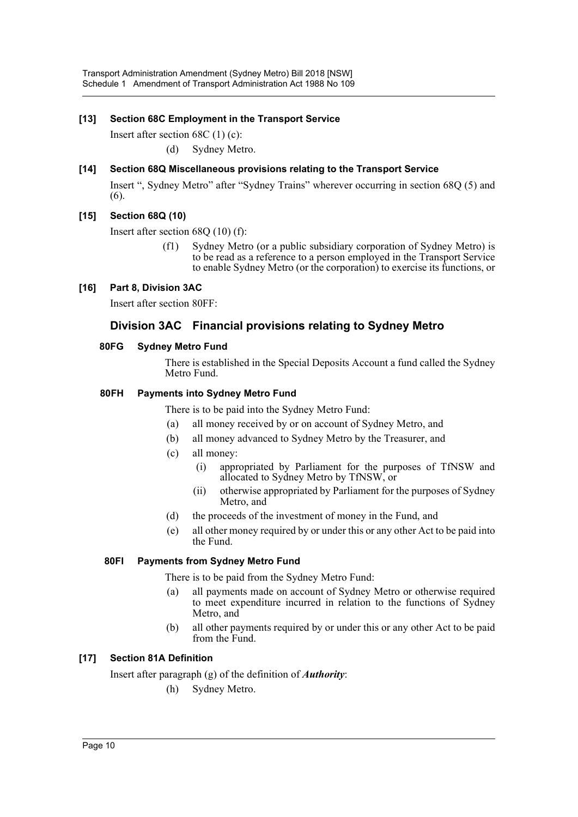## **[13] Section 68C Employment in the Transport Service**

Insert after section 68C (1) (c):

(d) Sydney Metro.

## **[14] Section 68Q Miscellaneous provisions relating to the Transport Service**

Insert ", Sydney Metro" after "Sydney Trains" wherever occurring in section 68Q (5) and (6).

## **[15] Section 68Q (10)**

Insert after section 68Q (10) (f):

(f1) Sydney Metro (or a public subsidiary corporation of Sydney Metro) is to be read as a reference to a person employed in the Transport Service to enable Sydney Metro (or the corporation) to exercise its functions, or

## **[16] Part 8, Division 3AC**

Insert after section 80FF:

## **Division 3AC Financial provisions relating to Sydney Metro**

## **80FG Sydney Metro Fund**

There is established in the Special Deposits Account a fund called the Sydney Metro Fund.

### **80FH Payments into Sydney Metro Fund**

There is to be paid into the Sydney Metro Fund:

- (a) all money received by or on account of Sydney Metro, and
- (b) all money advanced to Sydney Metro by the Treasurer, and
- (c) all money:
	- (i) appropriated by Parliament for the purposes of TfNSW and allocated to Sydney Metro by TfNSW, or
	- (ii) otherwise appropriated by Parliament for the purposes of Sydney Metro, and
- (d) the proceeds of the investment of money in the Fund, and
- (e) all other money required by or under this or any other Act to be paid into the Fund.

## **80FI Payments from Sydney Metro Fund**

There is to be paid from the Sydney Metro Fund:

- (a) all payments made on account of Sydney Metro or otherwise required to meet expenditure incurred in relation to the functions of Sydney Metro, and
- (b) all other payments required by or under this or any other Act to be paid from the Fund.

## **[17] Section 81A Definition**

Insert after paragraph (g) of the definition of *Authority*:

(h) Sydney Metro.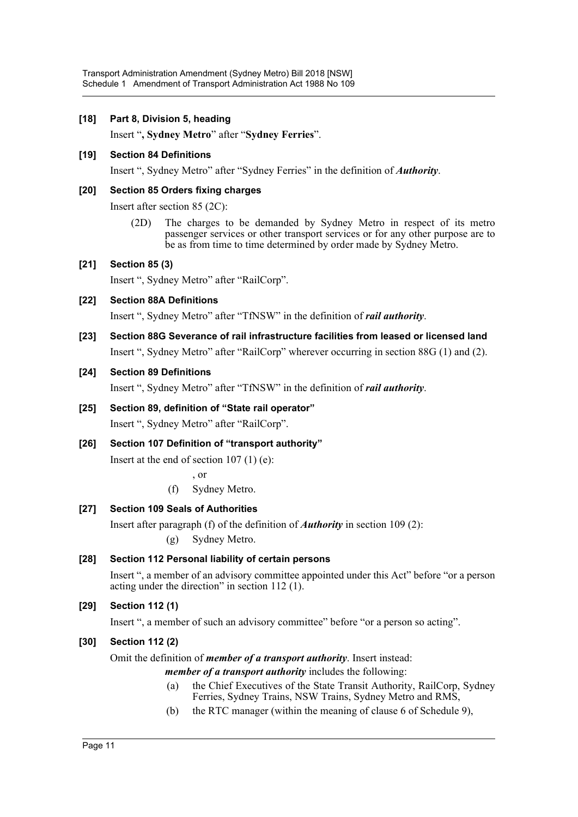### **[18] Part 8, Division 5, heading**

Insert "**, Sydney Metro**" after "**Sydney Ferries**".

#### **[19] Section 84 Definitions**

Insert ", Sydney Metro" after "Sydney Ferries" in the definition of *Authority*.

#### **[20] Section 85 Orders fixing charges**

Insert after section 85 (2C):

(2D) The charges to be demanded by Sydney Metro in respect of its metro passenger services or other transport services or for any other purpose are to be as from time to time determined by order made by Sydney Metro.

### **[21] Section 85 (3)**

Insert ", Sydney Metro" after "RailCorp".

**[22] Section 88A Definitions**

Insert ", Sydney Metro" after "TfNSW" in the definition of *rail authority*.

## **[23] Section 88G Severance of rail infrastructure facilities from leased or licensed land**

Insert ", Sydney Metro" after "RailCorp" wherever occurring in section 88G (1) and (2).

### **[24] Section 89 Definitions**

Insert ", Sydney Metro" after "TfNSW" in the definition of *rail authority*.

- **[25] Section 89, definition of "State rail operator"** Insert ", Sydney Metro" after "RailCorp".
- **[26] Section 107 Definition of "transport authority"**

Insert at the end of section 107 (1) (e):

, or

(f) Sydney Metro.

## **[27] Section 109 Seals of Authorities**

Insert after paragraph (f) of the definition of *Authority* in section 109 (2):

(g) Sydney Metro.

## **[28] Section 112 Personal liability of certain persons**

Insert ", a member of an advisory committee appointed under this Act" before "or a person acting under the direction" in section 112 (1).

## **[29] Section 112 (1)**

Insert ", a member of such an advisory committee" before "or a person so acting".

#### **[30] Section 112 (2)**

Omit the definition of *member of a transport authority*. Insert instead:

*member of a transport authority* includes the following:

- (a) the Chief Executives of the State Transit Authority, RailCorp, Sydney Ferries, Sydney Trains, NSW Trains, Sydney Metro and RMS,
- (b) the RTC manager (within the meaning of clause 6 of Schedule 9),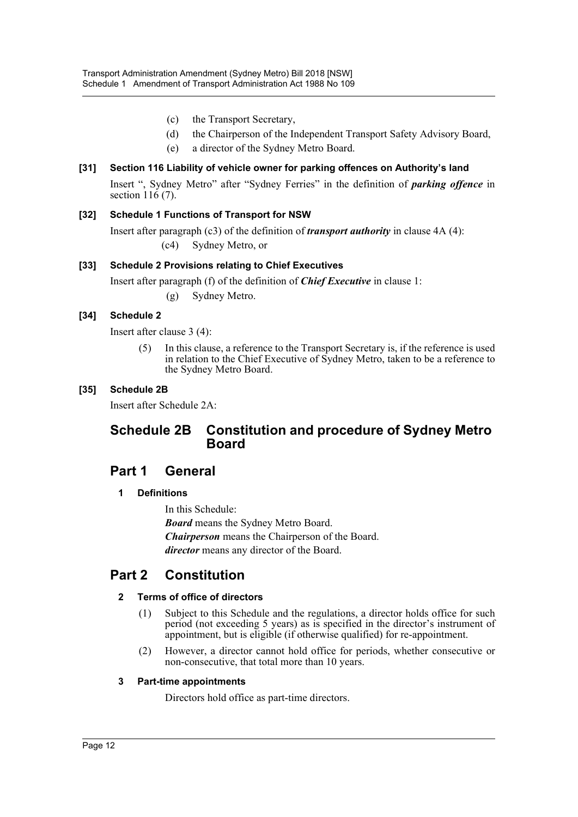- (c) the Transport Secretary,
- (d) the Chairperson of the Independent Transport Safety Advisory Board,
- (e) a director of the Sydney Metro Board.

## **[31] Section 116 Liability of vehicle owner for parking offences on Authority's land**

Insert ", Sydney Metro" after "Sydney Ferries" in the definition of *parking offence* in section 116 (7).

## **[32] Schedule 1 Functions of Transport for NSW**

Insert after paragraph (c3) of the definition of *transport authority* in clause 4A (4):

(c4) Sydney Metro, or

## **[33] Schedule 2 Provisions relating to Chief Executives**

Insert after paragraph (f) of the definition of *Chief Executive* in clause 1:

(g) Sydney Metro.

## **[34] Schedule 2**

Insert after clause 3 (4):

(5) In this clause, a reference to the Transport Secretary is, if the reference is used in relation to the Chief Executive of Sydney Metro, taken to be a reference to the Sydney Metro Board.

## **[35] Schedule 2B**

Insert after Schedule 2A:

## **Schedule 2B Constitution and procedure of Sydney Metro Board**

## **Part 1 General**

## **1 Definitions**

In this Schedule: *Board* means the Sydney Metro Board. *Chairperson* means the Chairperson of the Board. *director* means any director of the Board.

## **Part 2 Constitution**

## **2 Terms of office of directors**

- (1) Subject to this Schedule and the regulations, a director holds office for such period (not exceeding 5 years) as is specified in the director's instrument of appointment, but is eligible (if otherwise qualified) for re-appointment.
- (2) However, a director cannot hold office for periods, whether consecutive or non-consecutive, that total more than 10 years.

#### **3 Part-time appointments**

Directors hold office as part-time directors.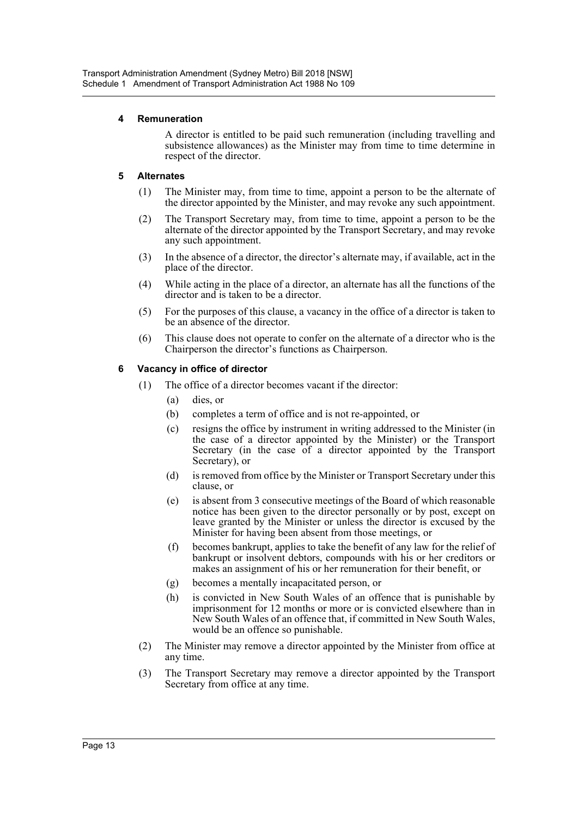### **4 Remuneration**

A director is entitled to be paid such remuneration (including travelling and subsistence allowances) as the Minister may from time to time determine in respect of the director.

### **5 Alternates**

- (1) The Minister may, from time to time, appoint a person to be the alternate of the director appointed by the Minister, and may revoke any such appointment.
- (2) The Transport Secretary may, from time to time, appoint a person to be the alternate of the director appointed by the Transport Secretary, and may revoke any such appointment.
- (3) In the absence of a director, the director's alternate may, if available, act in the place of the director.
- (4) While acting in the place of a director, an alternate has all the functions of the director and is taken to be a director.
- (5) For the purposes of this clause, a vacancy in the office of a director is taken to be an absence of the director.
- (6) This clause does not operate to confer on the alternate of a director who is the Chairperson the director's functions as Chairperson.

### **6 Vacancy in office of director**

- (1) The office of a director becomes vacant if the director:
	- (a) dies, or
	- (b) completes a term of office and is not re-appointed, or
	- (c) resigns the office by instrument in writing addressed to the Minister (in the case of a director appointed by the Minister) or the Transport Secretary (in the case of a director appointed by the Transport Secretary), or
	- (d) is removed from office by the Minister or Transport Secretary under this clause, or
	- (e) is absent from 3 consecutive meetings of the Board of which reasonable notice has been given to the director personally or by post, except on leave granted by the Minister or unless the director is excused by the Minister for having been absent from those meetings, or
	- (f) becomes bankrupt, applies to take the benefit of any law for the relief of bankrupt or insolvent debtors, compounds with his or her creditors or makes an assignment of his or her remuneration for their benefit, or
	- (g) becomes a mentally incapacitated person, or
	- (h) is convicted in New South Wales of an offence that is punishable by imprisonment for 12 months or more or is convicted elsewhere than in New South Wales of an offence that, if committed in New South Wales, would be an offence so punishable.
- (2) The Minister may remove a director appointed by the Minister from office at any time.
- (3) The Transport Secretary may remove a director appointed by the Transport Secretary from office at any time.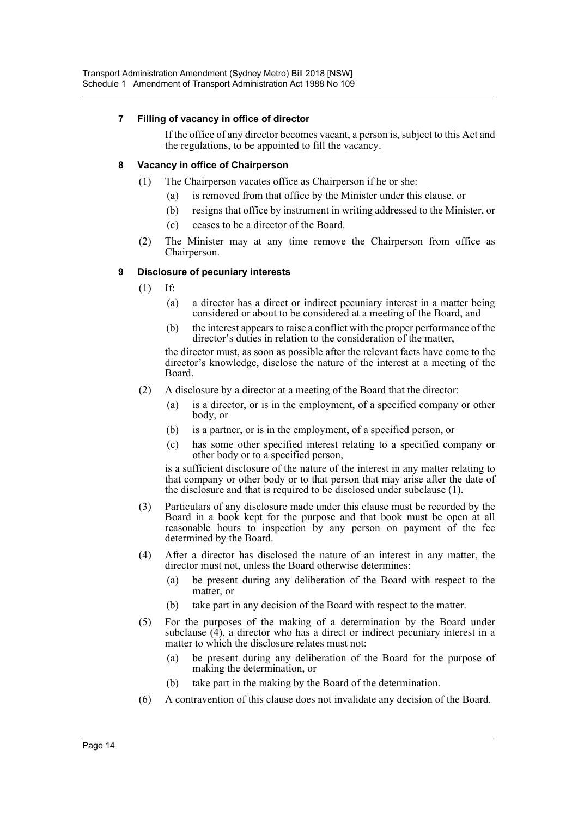### **7 Filling of vacancy in office of director**

If the office of any director becomes vacant, a person is, subject to this Act and the regulations, to be appointed to fill the vacancy.

#### **8 Vacancy in office of Chairperson**

- (1) The Chairperson vacates office as Chairperson if he or she:
	- (a) is removed from that office by the Minister under this clause, or
	- (b) resigns that office by instrument in writing addressed to the Minister, or
	- (c) ceases to be a director of the Board.
- (2) The Minister may at any time remove the Chairperson from office as Chairperson.

## **9 Disclosure of pecuniary interests**

- (1) If:
	- (a) a director has a direct or indirect pecuniary interest in a matter being considered or about to be considered at a meeting of the Board, and
	- (b) the interest appears to raise a conflict with the proper performance of the director's duties in relation to the consideration of the matter,

the director must, as soon as possible after the relevant facts have come to the director's knowledge, disclose the nature of the interest at a meeting of the Board.

- (2) A disclosure by a director at a meeting of the Board that the director:
	- (a) is a director, or is in the employment, of a specified company or other body, or
	- (b) is a partner, or is in the employment, of a specified person, or
	- (c) has some other specified interest relating to a specified company or other body or to a specified person,

is a sufficient disclosure of the nature of the interest in any matter relating to that company or other body or to that person that may arise after the date of the disclosure and that is required to be disclosed under subclause (1).

- (3) Particulars of any disclosure made under this clause must be recorded by the Board in a book kept for the purpose and that book must be open at all reasonable hours to inspection by any person on payment of the fee determined by the Board.
- (4) After a director has disclosed the nature of an interest in any matter, the director must not, unless the Board otherwise determines:
	- (a) be present during any deliberation of the Board with respect to the matter, or
	- (b) take part in any decision of the Board with respect to the matter.
- (5) For the purposes of the making of a determination by the Board under subclause (4), a director who has a direct or indirect pecuniary interest in a matter to which the disclosure relates must not:
	- (a) be present during any deliberation of the Board for the purpose of making the determination, or
	- (b) take part in the making by the Board of the determination.
- (6) A contravention of this clause does not invalidate any decision of the Board.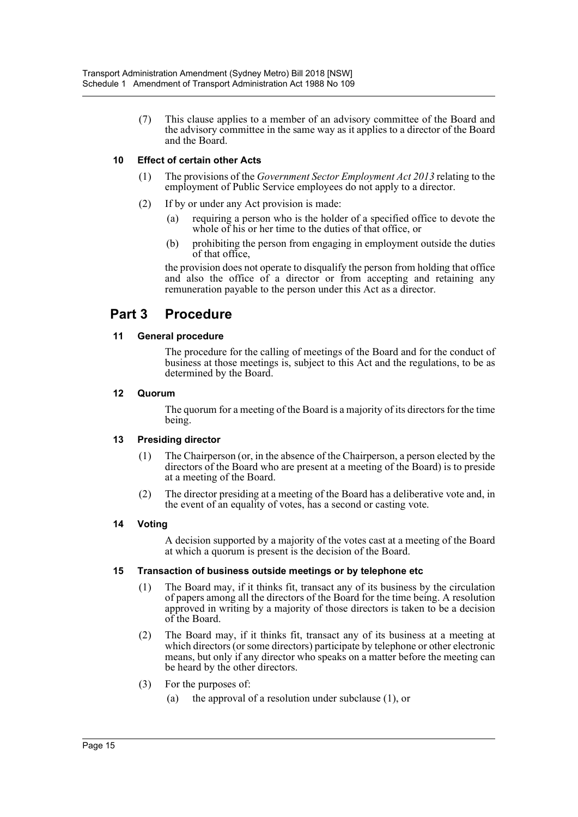(7) This clause applies to a member of an advisory committee of the Board and the advisory committee in the same way as it applies to a director of the Board and the Board.

## **10 Effect of certain other Acts**

- (1) The provisions of the *Government Sector Employment Act 2013* relating to the employment of Public Service employees do not apply to a director.
- (2) If by or under any Act provision is made:
	- (a) requiring a person who is the holder of a specified office to devote the whole of his or her time to the duties of that office, or
	- (b) prohibiting the person from engaging in employment outside the duties of that office,

the provision does not operate to disqualify the person from holding that office and also the office of a director or from accepting and retaining any remuneration payable to the person under this Act as a director.

## **Part 3 Procedure**

### **11 General procedure**

The procedure for the calling of meetings of the Board and for the conduct of business at those meetings is, subject to this Act and the regulations, to be as determined by the Board.

### **12 Quorum**

The quorum for a meeting of the Board is a majority of its directors for the time being.

## **13 Presiding director**

- (1) The Chairperson (or, in the absence of the Chairperson, a person elected by the directors of the Board who are present at a meeting of the Board) is to preside at a meeting of the Board.
- (2) The director presiding at a meeting of the Board has a deliberative vote and, in the event of an equality of votes, has a second or casting vote.

## **14 Voting**

A decision supported by a majority of the votes cast at a meeting of the Board at which a quorum is present is the decision of the Board.

#### **15 Transaction of business outside meetings or by telephone etc**

- (1) The Board may, if it thinks fit, transact any of its business by the circulation of papers among all the directors of the Board for the time being. A resolution approved in writing by a majority of those directors is taken to be a decision of the Board.
- (2) The Board may, if it thinks fit, transact any of its business at a meeting at which directors (or some directors) participate by telephone or other electronic means, but only if any director who speaks on a matter before the meeting can be heard by the other directors.
- (3) For the purposes of:
	- (a) the approval of a resolution under subclause (1), or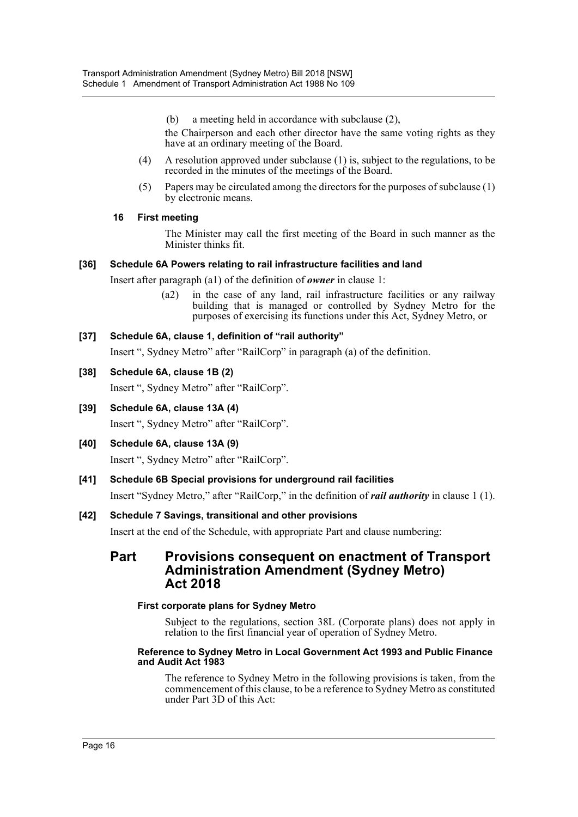(b) a meeting held in accordance with subclause (2),

the Chairperson and each other director have the same voting rights as they have at an ordinary meeting of the Board.

- (4) A resolution approved under subclause (1) is, subject to the regulations, to be recorded in the minutes of the meetings of the Board.
- (5) Papers may be circulated among the directors for the purposes of subclause (1) by electronic means.

## **16 First meeting**

The Minister may call the first meeting of the Board in such manner as the Minister thinks fit.

### **[36] Schedule 6A Powers relating to rail infrastructure facilities and land**

Insert after paragraph (a1) of the definition of *owner* in clause 1:

(a2) in the case of any land, rail infrastructure facilities or any railway building that is managed or controlled by Sydney Metro for the purposes of exercising its functions under this Act, Sydney Metro, or

### **[37] Schedule 6A, clause 1, definition of "rail authority"**

Insert ", Sydney Metro" after "RailCorp" in paragraph (a) of the definition.

### **[38] Schedule 6A, clause 1B (2)**

Insert ", Sydney Metro" after "RailCorp".

**[39] Schedule 6A, clause 13A (4)**

Insert ", Sydney Metro" after "RailCorp".

**[40] Schedule 6A, clause 13A (9)**

Insert ", Sydney Metro" after "RailCorp".

#### **[41] Schedule 6B Special provisions for underground rail facilities**

Insert "Sydney Metro," after "RailCorp," in the definition of *rail authority* in clause 1 (1).

#### **[42] Schedule 7 Savings, transitional and other provisions**

Insert at the end of the Schedule, with appropriate Part and clause numbering:

## **Part Provisions consequent on enactment of Transport Administration Amendment (Sydney Metro) Act 2018**

#### **First corporate plans for Sydney Metro**

Subject to the regulations, section 38L (Corporate plans) does not apply in relation to the first financial year of operation of Sydney Metro.

#### **Reference to Sydney Metro in Local Government Act 1993 and Public Finance and Audit Act 1983**

The reference to Sydney Metro in the following provisions is taken, from the commencement of this clause, to be a reference to Sydney Metro as constituted under Part 3D of this Act: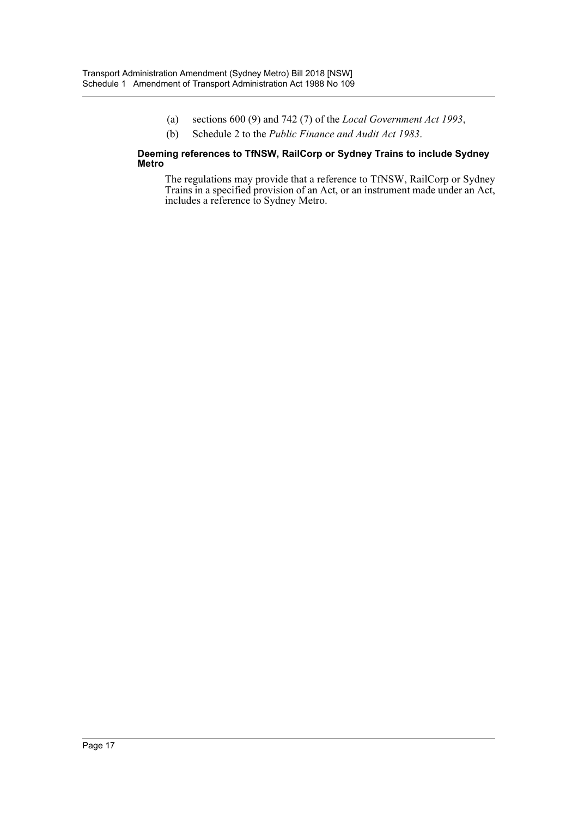- (a) sections 600 (9) and 742 (7) of the *Local Government Act 1993*,
- (b) Schedule 2 to the *Public Finance and Audit Act 1983*.

#### **Deeming references to TfNSW, RailCorp or Sydney Trains to include Sydney Metro**

The regulations may provide that a reference to TfNSW, RailCorp or Sydney Trains in a specified provision of an Act, or an instrument made under an Act, includes a reference to Sydney Metro.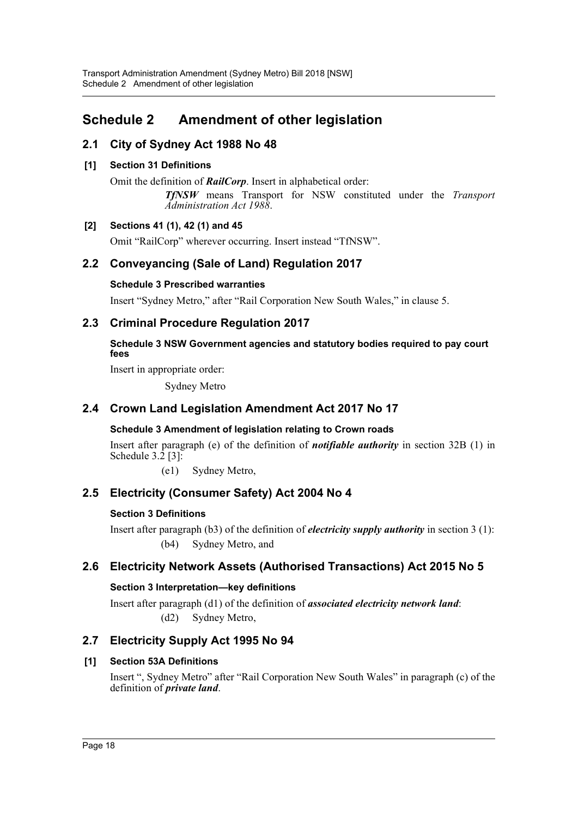## <span id="page-18-0"></span>**Schedule 2 Amendment of other legislation**

## **2.1 City of Sydney Act 1988 No 48**

## **[1] Section 31 Definitions**

Omit the definition of *RailCorp*. Insert in alphabetical order: *TfNSW* means Transport for NSW constituted under the *Transport Administration Act 1988*.

## **[2] Sections 41 (1), 42 (1) and 45**

Omit "RailCorp" wherever occurring. Insert instead "TfNSW".

## **2.2 Conveyancing (Sale of Land) Regulation 2017**

## **Schedule 3 Prescribed warranties**

Insert "Sydney Metro," after "Rail Corporation New South Wales," in clause 5.

## **2.3 Criminal Procedure Regulation 2017**

## **Schedule 3 NSW Government agencies and statutory bodies required to pay court fees**

Insert in appropriate order:

Sydney Metro

## **2.4 Crown Land Legislation Amendment Act 2017 No 17**

## **Schedule 3 Amendment of legislation relating to Crown roads**

Insert after paragraph (e) of the definition of *notifiable authority* in section 32B (1) in Schedule  $3.\overline{2}$  [3]:

(e1) Sydney Metro,

## **2.5 Electricity (Consumer Safety) Act 2004 No 4**

## **Section 3 Definitions**

Insert after paragraph (b3) of the definition of *electricity supply authority* in section 3 (1): (b4) Sydney Metro, and

## **2.6 Electricity Network Assets (Authorised Transactions) Act 2015 No 5**

## **Section 3 Interpretation—key definitions**

Insert after paragraph (d1) of the definition of *associated electricity network land*: (d2) Sydney Metro,

## **2.7 Electricity Supply Act 1995 No 94**

## **[1] Section 53A Definitions**

Insert ", Sydney Metro" after "Rail Corporation New South Wales" in paragraph (c) of the definition of *private land*.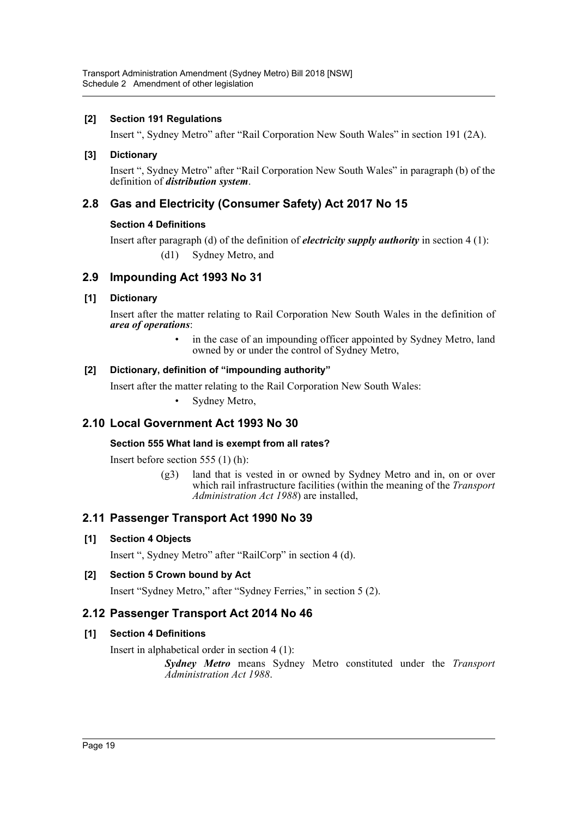## **[2] Section 191 Regulations**

Insert ", Sydney Metro" after "Rail Corporation New South Wales" in section 191 (2A).

### **[3] Dictionary**

Insert ", Sydney Metro" after "Rail Corporation New South Wales" in paragraph (b) of the definition of *distribution system*.

## **2.8 Gas and Electricity (Consumer Safety) Act 2017 No 15**

### **Section 4 Definitions**

Insert after paragraph (d) of the definition of *electricity supply authority* in section 4 (1): (d1) Sydney Metro, and

## **2.9 Impounding Act 1993 No 31**

### **[1] Dictionary**

Insert after the matter relating to Rail Corporation New South Wales in the definition of *area of operations*:

> in the case of an impounding officer appointed by Sydney Metro, land owned by or under the control of Sydney Metro,

### **[2] Dictionary, definition of "impounding authority"**

Insert after the matter relating to the Rail Corporation New South Wales:

Sydney Metro,

## **2.10 Local Government Act 1993 No 30**

#### **Section 555 What land is exempt from all rates?**

Insert before section 555 (1) (h):

(g3) land that is vested in or owned by Sydney Metro and in, on or over which rail infrastructure facilities (within the meaning of the *Transport Administration Act 1988*) are installed,

## **2.11 Passenger Transport Act 1990 No 39**

#### **[1] Section 4 Objects**

Insert ", Sydney Metro" after "RailCorp" in section 4 (d).

## **[2] Section 5 Crown bound by Act**

Insert "Sydney Metro," after "Sydney Ferries," in section 5 (2).

## **2.12 Passenger Transport Act 2014 No 46**

#### **[1] Section 4 Definitions**

Insert in alphabetical order in section 4 (1):

*Sydney Metro* means Sydney Metro constituted under the *Transport Administration Act 1988*.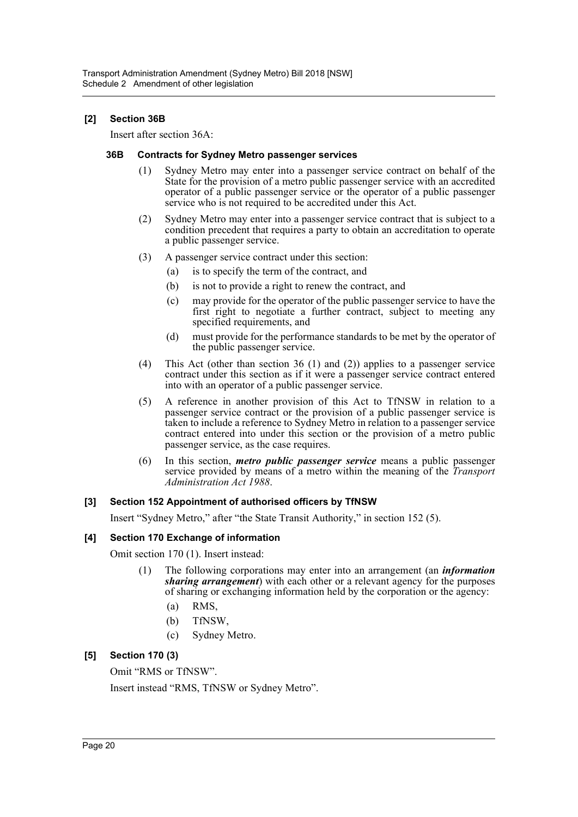### **[2] Section 36B**

Insert after section 36A:

#### **36B Contracts for Sydney Metro passenger services**

- (1) Sydney Metro may enter into a passenger service contract on behalf of the State for the provision of a metro public passenger service with an accredited operator of a public passenger service or the operator of a public passenger service who is not required to be accredited under this Act.
- (2) Sydney Metro may enter into a passenger service contract that is subject to a condition precedent that requires a party to obtain an accreditation to operate a public passenger service.
- (3) A passenger service contract under this section:
	- (a) is to specify the term of the contract, and
	- (b) is not to provide a right to renew the contract, and
	- (c) may provide for the operator of the public passenger service to have the first right to negotiate a further contract, subject to meeting any specified requirements, and
	- (d) must provide for the performance standards to be met by the operator of the public passenger service.
- (4) This Act (other than section 36 (1) and (2)) applies to a passenger service contract under this section as if it were a passenger service contract entered into with an operator of a public passenger service.
- (5) A reference in another provision of this Act to TfNSW in relation to a passenger service contract or the provision of a public passenger service is taken to include a reference to Sydney Metro in relation to a passenger service contract entered into under this section or the provision of a metro public passenger service, as the case requires.
- (6) In this section, *metro public passenger service* means a public passenger service provided by means of a metro within the meaning of the *Transport Administration Act 1988*.

#### **[3] Section 152 Appointment of authorised officers by TfNSW**

Insert "Sydney Metro," after "the State Transit Authority," in section 152 (5).

#### **[4] Section 170 Exchange of information**

Omit section 170 (1). Insert instead:

- (1) The following corporations may enter into an arrangement (an *information sharing arrangement*) with each other or a relevant agency for the purposes of sharing or exchanging information held by the corporation or the agency:
	- (a) RMS,
	- (b) TfNSW,
	- (c) Sydney Metro.

## **[5] Section 170 (3)**

Omit "RMS or TfNSW".

Insert instead "RMS, TfNSW or Sydney Metro".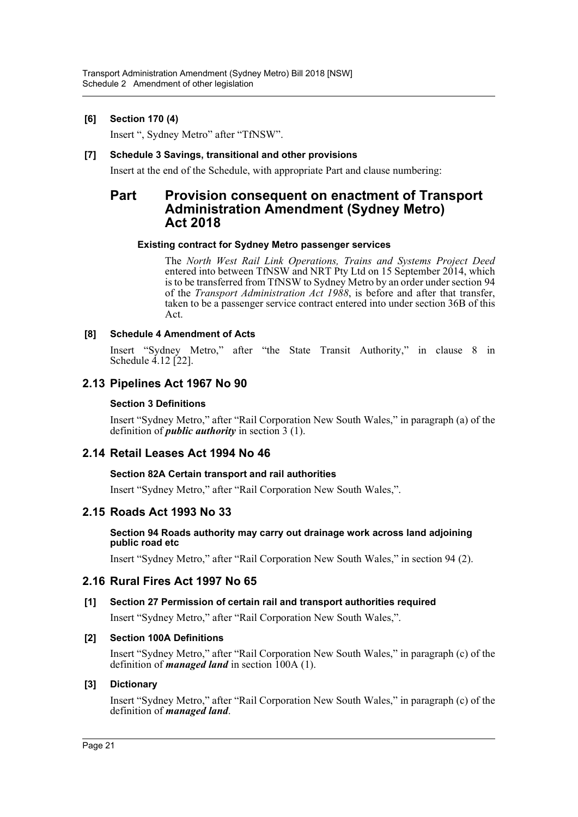## **[6] Section 170 (4)**

Insert ", Sydney Metro" after "TfNSW".

### **[7] Schedule 3 Savings, transitional and other provisions**

Insert at the end of the Schedule, with appropriate Part and clause numbering:

## **Part Provision consequent on enactment of Transport Administration Amendment (Sydney Metro) Act 2018**

#### **Existing contract for Sydney Metro passenger services**

The *North West Rail Link Operations, Trains and Systems Project Deed* entered into between TfNSW and NRT Pty Ltd on 15 September 2014, which is to be transferred from TfNSW to Sydney Metro by an order under section 94 of the *Transport Administration Act 1988*, is before and after that transfer, taken to be a passenger service contract entered into under section 36B of this Act.

## **[8] Schedule 4 Amendment of Acts**

Insert "Sydney Metro," after "the State Transit Authority," in clause 8 in Schedule 4.12 [22].

## **2.13 Pipelines Act 1967 No 90**

### **Section 3 Definitions**

Insert "Sydney Metro," after "Rail Corporation New South Wales," in paragraph (a) of the definition of *public authority* in section 3 (1).

## **2.14 Retail Leases Act 1994 No 46**

#### **Section 82A Certain transport and rail authorities**

Insert "Sydney Metro," after "Rail Corporation New South Wales,".

## **2.15 Roads Act 1993 No 33**

#### **Section 94 Roads authority may carry out drainage work across land adjoining public road etc**

Insert "Sydney Metro," after "Rail Corporation New South Wales," in section 94 (2).

## **2.16 Rural Fires Act 1997 No 65**

## **[1] Section 27 Permission of certain rail and transport authorities required**

Insert "Sydney Metro," after "Rail Corporation New South Wales,".

#### **[2] Section 100A Definitions**

Insert "Sydney Metro," after "Rail Corporation New South Wales," in paragraph (c) of the definition of *managed land* in section 100A (1).

#### **[3] Dictionary**

Insert "Sydney Metro," after "Rail Corporation New South Wales," in paragraph (c) of the definition of *managed land*.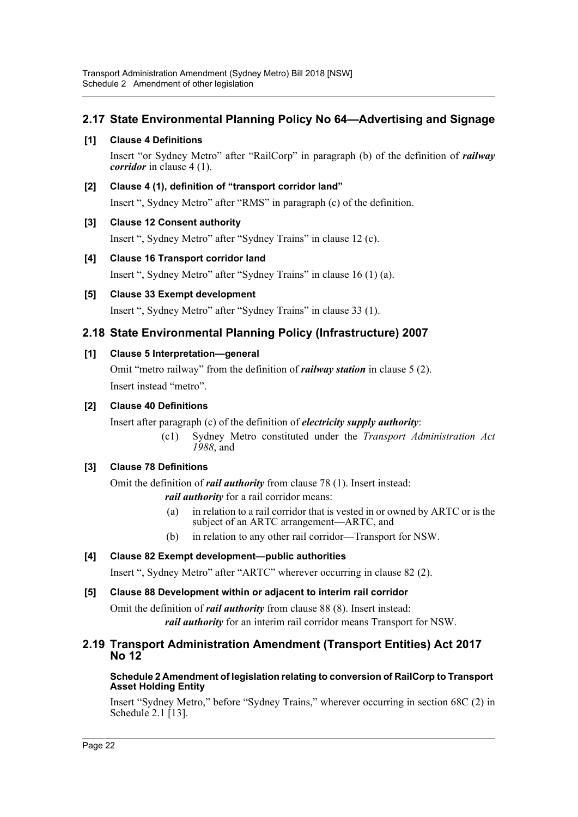## **2.17 State Environmental Planning Policy No 64—Advertising and Signage**

## **[1] Clause 4 Definitions**

Insert "or Sydney Metro" after "RailCorp" in paragraph (b) of the definition of *railway corridor* in clause 4 (1).

## **[2] Clause 4 (1), definition of "transport corridor land"**

Insert ", Sydney Metro" after "RMS" in paragraph (c) of the definition.

## **[3] Clause 12 Consent authority**

Insert ", Sydney Metro" after "Sydney Trains" in clause 12 (c).

## **[4] Clause 16 Transport corridor land**

Insert ", Sydney Metro" after "Sydney Trains" in clause 16 (1) (a).

## **[5] Clause 33 Exempt development**

Insert ", Sydney Metro" after "Sydney Trains" in clause 33 (1).

## **2.18 State Environmental Planning Policy (Infrastructure) 2007**

## **[1] Clause 5 Interpretation—general**

Omit "metro railway" from the definition of *railway station* in clause 5 (2). Insert instead "metro".

## **[2] Clause 40 Definitions**

Insert after paragraph (c) of the definition of *electricity supply authority*:

(c1) Sydney Metro constituted under the *Transport Administration Act 1988*, and

## **[3] Clause 78 Definitions**

Omit the definition of *rail authority* from clause 78 (1). Insert instead: *rail authority* for a rail corridor means:

- (a) in relation to a rail corridor that is vested in or owned by ARTC or is the subject of an ARTC arrangement—ARTC, and
- (b) in relation to any other rail corridor—Transport for NSW.

## **[4] Clause 82 Exempt development—public authorities**

Insert ", Sydney Metro" after "ARTC" wherever occurring in clause 82 (2).

## **[5] Clause 88 Development within or adjacent to interim rail corridor**

Omit the definition of *rail authority* from clause 88 (8). Insert instead: *rail authority* for an interim rail corridor means Transport for NSW.

## **2.19 Transport Administration Amendment (Transport Entities) Act 2017 No 12**

#### **Schedule 2 Amendment of legislation relating to conversion of RailCorp to Transport Asset Holding Entity**

Insert "Sydney Metro," before "Sydney Trains," wherever occurring in section 68C (2) in Schedule 2.1 [13].